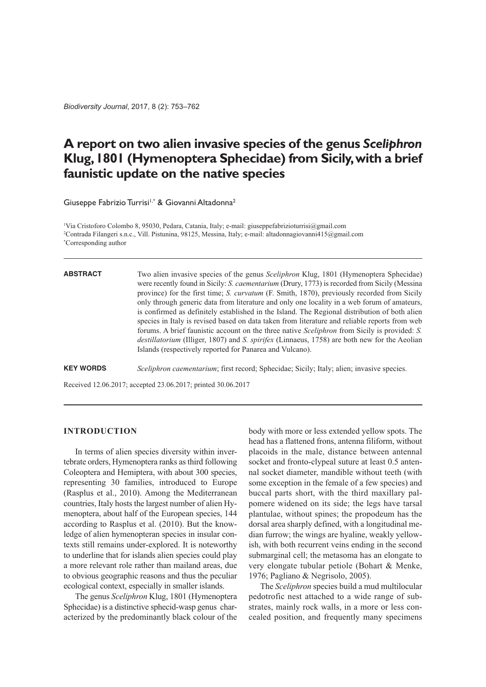*Biodiversity Journal*, 2017, 8 (2): 753–762

# **A report on two alien invasive species of the genus** *Sceliphron* **Klug,1801 (Hymenoptera Sphecidae) from Sicily,with a brief faunistic update on the native species**

Giuseppe Fabrizio Turrisi<sup>1,\*</sup> & Giovanni Altadonna<sup>2</sup>

1 Via Cristoforo Colombo 8, 95030, Pedara, Catania, Italy; e-mail: giuseppefabrizioturrisi@gmail.com 2 Contrada Filangeri s.n.c., Vill. Pistunina, 98125, Messina, Italy; e-mail: altadonnagiovanni415@gmail.com \* Corresponding author

#### **ABSTRACT**

Two alien invasive species of the genus *Sceliphron* Klug, 1801 (Hymenoptera Sphecidae) were recently found in Sicily: *S. caementarium* (Drury, 1773) is recorded from Sicily (Messina province) for the first time; *S. curvatum* (F. Smith, 1870), previously recorded from Sicily only through generic data from literature and only one locality in a web forum of amateurs, is confirmed as definitely established in the Island. The Regional distribution of both alien species in Italy is revised based on data taken from literature and reliable reports from web forums. A brief faunistic account on the three native *Sceliphron* from Sicily is provided: *S. destillatorium* (Illiger, 1807) and *S. spirifex* (Linnaeus, 1758) are both new for the Aeolian Islands (respectively reported for Panarea and Vulcano).

**KEY WORDS** *Sceliphron caementarium*; first record; Sphecidae; Sicily; Italy; alien; invasive species.

Received 12.06.2017; accepted 23.06.2017; printed 30.06.2017

# **INTRODUCTION**

In terms of alien species diversity within invertebrate orders, Hymenoptera ranks asthird following Coleoptera and Hemiptera, with about 300 species, representing 30 families, introduced to Europe (Rasplus et al., 2010). Among the Mediterranean countries, Italy hosts the largest number of alien Hymenoptera, about half of the European species, 144 according to Rasplus et al. (2010). But the knowledge of alien hymenopteran species in insular contexts still remains under-explored. It is noteworthy to underline that for islands alien species could play a more relevant role rather than mailand areas, due to obvious geographic reasons and thus the peculiar ecological context, especially in smaller islands.

The genus *Sceliphron* Klug, 1801 (Hymenoptera Sphecidae) is a distinctive sphecid-wasp genus characterized by the predominantly black colour of the

body with more or less extended yellow spots. The head has a flattened frons, antenna filiform, without placoids in the male, distance between antennal socket and fronto-clypeal suture at least 0.5 antennal socket diameter, mandible without teeth (with some exception in the female of a few species) and buccal parts short, with the third maxillary palpomere widened on its side; the legs have tarsal plantulae, without spines; the propodeum has the dorsal area sharply defined, with a longitudinal median furrow; the wings are hyaline, weakly yellowish, with both recurrent veins ending in the second submarginal cell; the metasoma has an elongate to very elongate tubular petiole (Bohart & Menke, 1976; Pagliano & Negrisolo, 2005).

The *Sceliphron* species build a mud multilocular pedotrofic nest attached to a wide range of substrates, mainly rock walls, in a more or less concealed position, and frequently many specimens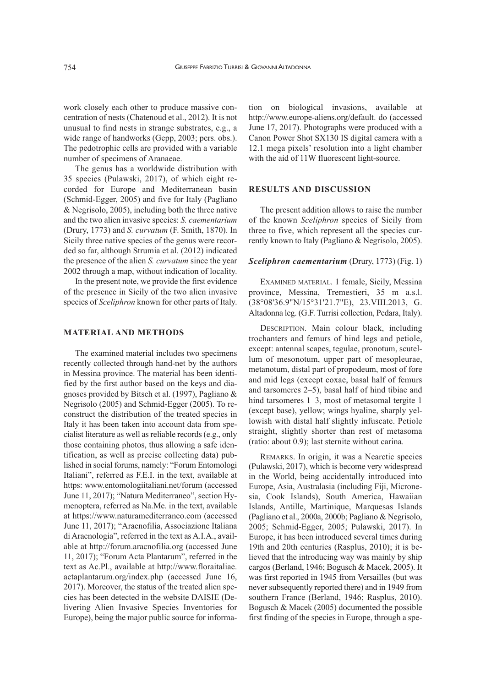work closely each other to produce massive concentration of nests (Chatenoud et al., 2012). It is not unusual to find nests in strange substrates, e.g., a wide range of handworks (Gepp, 2003; pers. obs.). The pedotrophic cells are provided with a variable number of specimens of Aranaeae.

The genus has a worldwide distribution with 35 species (Pulawski, 2017), of which eight recorded for Europe and Mediterranean basin (Schmid-Egger, 2005) and five for Italy (Pagliano & Negrisolo, 2005), including both the three native and the two alien invasive species: *S. caementarium* (Drury, 1773) and *S. curvatum* (F. Smith, 1870). In Sicily three native species of the genus were recorded so far, although Strumia et al. (2012) indicated the presence of the alien *S. curvatum* since the year 2002 through a map, without indication of locality.

In the present note, we provide the first evidence of the presence in Sicily of the two alien invasive species of *Sceliphron* known for other parts of Italy.

## **MATERIAL AND METHODS**

The examined material includes two specimens recently collected through hand-net by the authors in Messina province. The material has been identified by the first author based on the keys and diagnoses provided by Bitsch et al. (1997), Pagliano & Negrisolo (2005) and Schmid-Egger (2005). To reconstruct the distribution of the treated species in Italy it has been taken into account data from specialist literature as well as reliable records (e.g., only those containing photos, thus allowing a safe identification, as well as precise collecting data) published in social forums, namely: "Forum Entomologi Italiani", referred as F.E.I. in the text, available at https: www.entomologiitaliani.net/forum (accessed June 11, 2017); "Natura Mediterraneo", section Hymenoptera, referred as Na.Me. in the text, available at https://www.naturamediterraneo.com (accessed June 11, 2017); "Aracnofilia, Associazione Italiana di Aracnologia", referred in the text as A.I.A., available at http://forum.aracnofilia.org (accessed June 11, 2017); "Forum Acta Plantarum", referred in the text as Ac.Pl., available at http://www.floraitaliae. actaplantarum.org/index.php (accessed June 16, 2017). Moreover, the status of the treated alien species has been detected in the website DAISIE (Delivering Alien Invasive Species Inventories for Europe), being the major public source for informa-

tion on biological invasions, available at http://www.europe-aliens.org/default. do (accessed June 17, 2017). Photographs were produced with a Canon Power Shot SX130 IS digital camera with a 12.1 mega pixels' resolution into a light chamber with the aid of 11W fluorescent light-source.

#### **RESULTS AND DISCUSSION**

The present addition allows to raise the number of the known *Sceliphron* species of Sicily from three to five, which represent all the species currently known to Italy (Pagliano & Negrisolo, 2005).

### *Sceliphron caementarium* (Drury, 1773) (Fig. 1)

EXAMINED MATERIAL. 1 female, Sicily, Messina province, Messina, Tremestieri, 35 m a.s.l. (38°08'36.9"N/15°31'21.7"E), 23.VIII.2013, G. Altadonna leg. (G.F. Turrisi collection, Pedara, Italy).

DESCRIPTIoN. Main colour black, including trochanters and femurs of hind legs and petiole, except: antennal scapes, tegulae, pronotum, scutellum of mesonotum, upper part of mesopleurae, metanotum, distal part of propodeum, most of fore and mid legs (except coxae, basal half of femurs and tarsomeres 2–5), basal half of hind tibiae and hind tarsomeres 1–3, most of metasomal tergite 1 (except base), yellow; wings hyaline, sharply yellowish with distal half slightly infuscate. Petiole straight, slightly shorter than rest of metasoma (ratio: about 0.9); last sternite without carina.

REMARKS. In origin, it was a Nearctic species (Pulawski, 2017), which is become very widespread in the World, being accidentally introduced into Europe, Asia, Australasia (including Fiji, Micronesia, Cook Islands), South America, Hawaiian Islands, Antille, Martinique, Marquesas Islands (Pagliano et al., 2000a, 2000b; Pagliano & Negrisolo, 2005; Schmid-Egger, 2005; Pulawski, 2017). In Europe, it has been introduced several times during 19th and 20th centuries (Rasplus, 2010); it is believed that the introducing way was mainly by ship cargos (Berland, 1946; Bogusch & Macek, 2005). It was first reported in 1945 from Versailles (but was never subsequently reported there) and in 1949 from southern France (Berland, 1946; Rasplus, 2010). Bogusch & Macek (2005) documented the possible first finding of the species in Europe, through a spe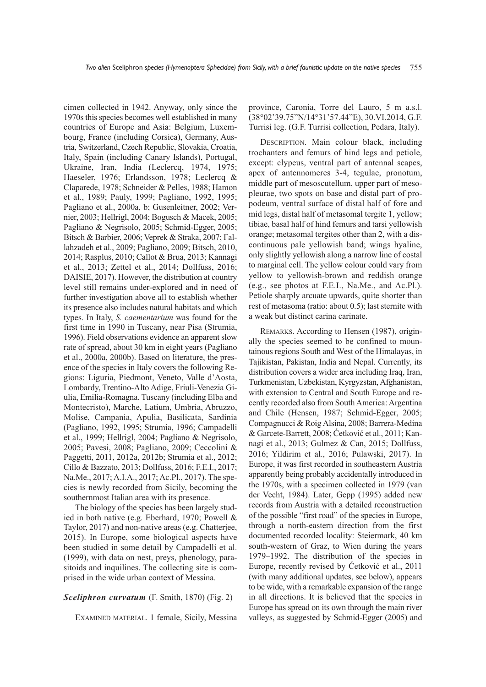cimen collected in 1942. Anyway, only since the 1970s this species becomes well established in many countries of Europe and Asia: Belgium, Luxembourg, France (including Corsica), Germany, Austria, Switzerland, Czech Republic, Slovakia, Croatia, Italy, Spain (including Canary Islands), Portugal, Ukraine, Iran, India (Leclercq, 1974, 1975; Haeseler, 1976; Erlandsson, 1978; Leclercq & Claparede, 1978; Schneider & Pelles, 1988; Hamon et al., 1989; Pauly, 1999; Pagliano, 1992, 1995; Pagliano et al., 2000a, b; Gusenleitner, 2002; Vernier, 2003; Hellrigl, 2004; Bogusch & Macek, 2005; Pagliano & Negrisolo, 2005; Schmid-Egger, 2005; Bitsch & Barbier, 2006; Veprek & Straka, 2007; Fallahzadeh et al., 2009; Pagliano, 2009; Bitsch, 2010, 2014; Rasplus, 2010; Callot & Brua, 2013; Kannagi et al., 2013; Zettel et al., 2014; Dollfuss, 2016; DAISIE, 2017). However, the distribution at country level still remains under-explored and in need of further investigation above all to establish whether its presence also includes natural habitats and which types. In Italy, *S. caementarium* was found for the first time in 1990 in Tuscany, near Pisa (Strumia, 1996). Field observations evidence an apparent slow rate of spread, about 30 km in eight years (Pagliano et al., 2000a, 2000b). Based on literature, the presence of the species in Italy covers the following Regions: Liguria, Piedmont, Veneto, Valle d'Aosta, Lombardy, Trentino-Alto Adige, Friuli-Venezia Giulia, Emilia-Romagna, Tuscany (including Elba and Montecristo), Marche, Latium, Umbria, Abruzzo, Molise, Campania, Apulia, Basilicata, Sardinia (Pagliano, 1992, 1995; Strumia, 1996; Campadelli et al., 1999; Hellrigl, 2004; Pagliano & Negrisolo, 2005; Pavesi, 2008; Pagliano, 2009; Ceccolini & Paggetti, 2011, 2012a, 2012b; Strumia et al., 2012; Cillo & Bazzato, 2013; Dollfuss, 2016; F.E.I., 2017; Na.Me., 2017; A.I.A., 2017; Ac.Pl., 2017). The species is newly recorded from Sicily, becoming the southernmost Italian area with its presence.

The biology of the species has been largely studied in both native (e.g. Eberhard, 1970; Powell & Taylor, 2017) and non-native areas (e.g. Chatterjee, 2015). In Europe, some biological aspects have been studied in some detail by Campadelli et al. (1999), with data on nest, preys, phenology, parasitoids and inquilines. The collecting site is comprised in the wide urban context of Messina.

## *Sceliphron curvatum* (F. Smith, 1870) (Fig. 2)

EXAMINED MATERIAL. 1 female, Sicily, Messina

province, Caronia, Torre del Lauro, 5 m a.s.l. (38°02'39.75"N/14°31'57.44"E), 30.VI.2014, G.F. Turrisi leg. (G.F. Turrisi collection, Pedara, Italy).

DESCRIPTIoN. Main colour black, including trochanters and femurs of hind legs and petiole, except: clypeus, ventral part of antennal scapes, apex of antennomeres 3-4, tegulae, pronotum, middle part of mesoscutellum, upper part of mesopleurae, two spots on base and distal part of propodeum, ventral surface of distal half of fore and mid legs, distal half of metasomal tergite 1, yellow; tibiae, basal half of hind femurs and tarsi yellowish orange; metasomal tergites other than 2, with a discontinuous pale yellowish band; wings hyaline, only slightly yellowish along a narrow line of costal to marginal cell. The yellow colour could vary from yellow to yellowish-brown and reddish orange (e.g., see photos at F.E.I., Na.Me., and Ac.Pl.). Petiole sharply arcuate upwards, quite shorter than rest of metasoma (ratio: about 0.5); last sternite with a weak but distinct carina carinate.

REMARKS. According to Hensen (1987), originally the species seemed to be confined to mountainous regions South and West of the Himalayas, in Tajikistan, Pakistan, India and Nepal. Currently, its distribution covers a wider area including Iraq, Iran, Turkmenistan, Uzbekistan, Kyrgyzstan,Afghanistan, with extension to Central and South Europe and recently recorded also from South America: Argentina and Chile (Hensen, 1987; Schmid-Egger, 2005; Compagnucci & Roig Alsina, 2008; Barrera-Medina & Garcete-Barrett, 2008; Ćetković et al., 2011; Kannagi et al., 2013; Gulmez & Can, 2015; Dollfuss, 2016; Yildirim et al., 2016; Pulawski, 2017). In Europe, it was first recorded in southeastern Austria apparently being probably accidentally introduced in the 1970s, with a specimen collected in 1979 (van der Vecht, 1984). Later, Gepp (1995) added new records from Austria with a detailed reconstruction of the possible "first road" of the species in Europe, through a north-eastern direction from the first documented recorded locality: Steiermark, 40 km south-western of Graz, to Wien during the years 1979–1992. The distribution of the species in Europe, recently revised by Ćetković et al., 2011 (with many additional updates, see below), appears to be wide, with a remarkable expansion of the range in all directions. It is believed that the species in Europe has spread on its own through the main river valleys, as suggested by Schmid-Egger (2005) and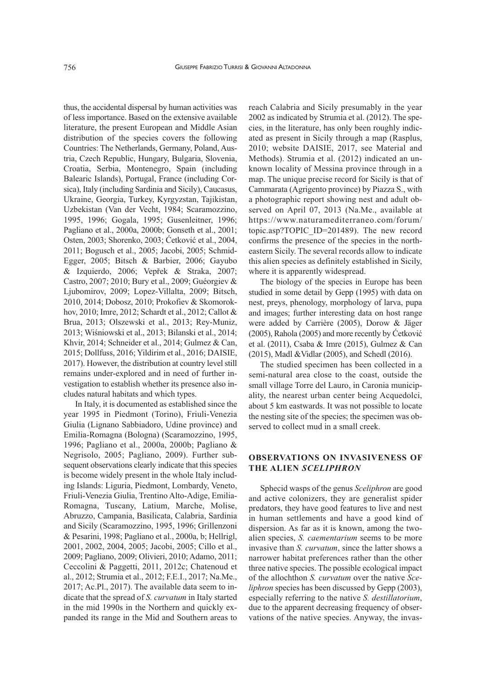thus, the accidental dispersal by human activities was of less importance. Based on the extensive available literature, the present European and Middle Asian distribution of the species covers the following Countries: The Netherlands, Germany, Poland, Austria, Czech Republic, Hungary, Bulgaria, Slovenia, Croatia, Serbia, Montenegro, Spain (including Balearic Islands), Portugal, France (including Corsica), Italy (including Sardinia and Sicily), Caucasus, Ukraine, Georgia, Turkey, Kyrgyzstan, Tajikistan, Uzbekistan (Van der Vecht, 1984; Scaramozzino, 1995, 1996; Gogala, 1995; Gusenleitner, 1996; Pagliano et al., 2000a, 2000b; Gonseth et al., 2001; osten, 2003; Shorenko, 2003; Ćetković et al., 2004, 2011; Bogusch et al., 2005; Jacobi, 2005; Schmid-Egger, 2005; Bitsch & Barbier, 2006; Gayubo & Izquierdo, 2006; Vepřek & Straka, 2007; Castro, 2007; 2010; Bury et al., 2009; Guéorgiev & Ljubomirov, 2009; Lopez-Villalta, 2009; Bitsch, 2010, 2014; Dobosz, 2010; Prokofiev & Skomorokhov, 2010; Imre, 2012; Schardt et al., 2012; Callot & Brua, 2013; olszewski et al., 2013; Rey-Muniz, 2013; Wiśniowski et al., 2013; Bilanski et al., 2014; Khvir, 2014; Schneider et al., 2014; Gulmez & Can, 2015; Dollfuss, 2016; Yildirim et al., 2016; DAISIE, 2017). However, the distribution at country level still remains under-explored and in need of further investigation to establish whether its presence also includes natural habitats and which types.

In Italy, it is documented as established since the year 1995 in Piedmont (Torino), Friuli-Venezia Giulia (Lignano Sabbiadoro, Udine province) and Emilia-Romagna (Bologna) (Scaramozzino, 1995, 1996; Pagliano et al., 2000a, 2000b; Pagliano & Negrisolo, 2005; Pagliano, 2009). Further subsequent observations clearly indicate that this species is become widely present in the whole Italy including Islands: Liguria, Piedmont, Lombardy, Veneto, Friuli-Venezia Giulia, Trentino Alto-Adige, Emilia-Romagna, Tuscany, Latium, Marche, Molise, Abruzzo, Campania, Basilicata, Calabria, Sardinia and Sicily (Scaramozzino, 1995, 1996; Grillenzoni & Pesarini, 1998; Pagliano et al., 2000a, b; Hellrigl, 2001, 2002, 2004, 2005; Jacobi, 2005; Cillo et al., 2009; Pagliano, 2009; olivieri, 2010; Adamo, 2011; Ceccolini & Paggetti, 2011, 2012c; Chatenoud et al., 2012; Strumia et al., 2012; F.E.I., 2017; Na.Me., 2017; Ac.Pl., 2017). The available data seem to indicate that the spread of *S. curvatum* in Italy started in the mid 1990s in the Northern and quickly expanded its range in the Mid and Southern areas to

reach Calabria and Sicily presumably in the year 2002 as indicated by Strumia et al. (2012). The species, in the literature, has only been roughly indicated as present in Sicily through a map (Rasplus, 2010; website DAISIE, 2017, see Material and Methods). Strumia et al. (2012) indicated an unknown locality of Messina province through in a map. The unique precise record for Sicily is that of Cammarata (Agrigento province) by Piazza S., with a photographic report showing nest and adult observed on April 07, 2013 (Na.Me., available at https://www.naturamediterraneo.com/forum/ topic.asp?ToPIC\_ID=201489). The new record confirms the presence of the species in the northeastern Sicily. The several records allow to indicate this alien species as definitely established in Sicily, where it is apparently widespread.

The biology of the species in Europe has been studied in some detail by Gepp (1995) with data on nest, preys, phenology, morphology of larva, pupa and images; further interesting data on host range were added by Carrière (2005), Dorow & Jäger (2005), Rahola (2005) and more recently by Ćetković et al. (2011), Csaba & Imre (2015), Gulmez & Can (2015), Madl &Vidlar (2005), and Schedl (2016).

The studied specimen has been collected in a semi-natural area close to the coast, outside the small village Torre del Lauro, in Caronia municipality, the nearest urban center being Acquedolci, about 5 km eastwards. It was not possible to locate the nesting site of the species; the specimen was observed to collect mud in a small creek.

# **OBSERVATIONS ON INVASIVENESS OF THE ALIEN** *SCELIPHRON*

Sphecid wasps of the genus *Sceliphron* are good and active colonizers, they are generalist spider predators, they have good features to live and nest in human settlements and have a good kind of dispersion. As far as it is known, among the twoalien species, *S. caementarium* seems to be more invasive than *S. curvatum*, since the latter shows a narrower habitat preferences rather than the other three native species. The possible ecological impact of the allochthon *S. curvatum* over the native *Sceliphron* species has been discussed by Gepp (2003), especially referring to the native *S. destillatorium*, due to the apparent decreasing frequency of observations of the native species. Anyway, the invas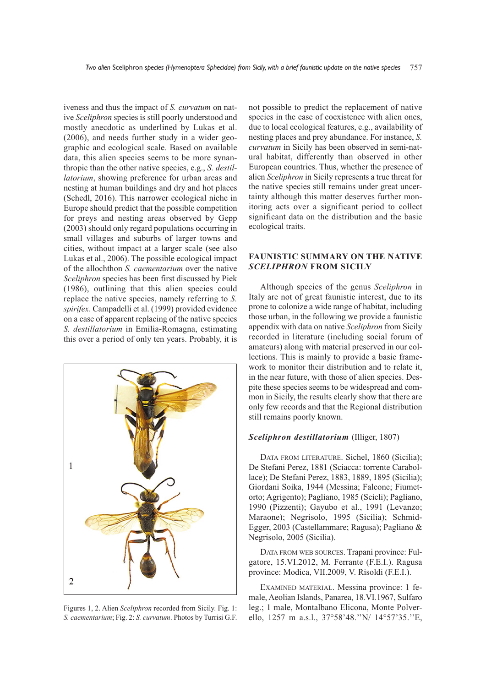iveness and thus the impact of *S. curvatum* on native *Sceliphron* species is still poorly understood and mostly anecdotic as underlined by Lukas et al. (2006), and needs further study in a wider geographic and ecological scale. Based on available data, this alien species seems to be more synanthropic than the other native species, e.g., *S. destillatorium*, showing preference for urban areas and nesting at human buildings and dry and hot places (Schedl, 2016). This narrower ecological niche in Europe should predict that the possible competition for preys and nesting areas observed by Gepp (2003) should only regard populations occurring in small villages and suburbs of larger towns and cities, without impact at a larger scale (see also Lukas et al., 2006). The possible ecological impact of the allochthon *S. caementarium* over the native *Sceliphron* species has been first discussed by Piek (1986), outlining that this alien species could replace the native species, namely referring to *S. spirifex*. Campadelli et al. (1999) provided evidence on a case of apparent replacing of the native species *S. destillatorium* in Emilia-Romagna, estimating this over a period of only ten years. Probably, it is



Figures 1, 2. Alien *Sceliphron* recorded from Sicily. Fig. 1: *S. caementarium*; Fig. 2: *S. curvatum*. Photos by Turrisi G.F.

not possible to predict the replacement of native species in the case of coexistence with alien ones, due to local ecological features, e.g., availability of nesting places and prey abundance. For instance, *S. curvatum* in Sicily has been observed in semi-natural habitat, differently than observed in other European countries. Thus, whether the presence of alien *Sceliphron* in Sicily represents a true threat for the native species still remains under great uncertainty although this matter deserves further monitoring acts over a significant period to collect significant data on the distribution and the basic ecological traits.

# **FAUNISTIC SUMMARY ON THE NATIVE** *SCELIPHRON* **FROM SICILY**

Although species of the genus *Sceliphron* in Italy are not of great faunistic interest, due to its prone to colonize a wide range of habitat, including those urban, in the following we provide a faunistic appendix with data on native *Sceliphron* from Sicily recorded in literature (including social forum of amateurs) along with material preserved in our collections. This is mainly to provide a basic framework to monitor their distribution and to relate it, in the near future, with those of alien species. Despite these species seems to be widespread and common in Sicily, the results clearly show that there are only few records and that the Regional distribution still remains poorly known.

## *Sceliphron destillatorium* (Illiger, 1807)

DATA FRoM LITERATURE. Sichel, 1860 (Sicilia); De Stefani Perez, 1881 (Sciacca: torrente Carabollace); De Stefani Perez, 1883, 1889, 1895 (Sicilia); Giordani Soika, 1944 (Messina; Falcone; Fiumetorto; Agrigento); Pagliano, 1985 (Scicli); Pagliano, 1990 (Pizzenti); Gayubo et al., 1991 (Levanzo; Maraone); Negrisolo, 1995 (Sicilia); Schmid-Egger, 2003 (Castellammare; Ragusa); Pagliano & Negrisolo, 2005 (Sicilia).

DATA FRoM WEB SoURCES. Trapani province: Fulgatore, 15.VI.2012, M. Ferrante (F.E.I.). Ragusa province: Modica, VII.2009, V. Risoldi (F.E.I.).

EXAMINED MATERIAL. Messina province: 1 female, Aeolian Islands, Panarea, 18.VI.1967, Sulfaro leg.; 1 male, Montalbano Elicona, Monte Polverello, 1257 m a.s.l., 37°58'48.''N/ 14°57'35.''E,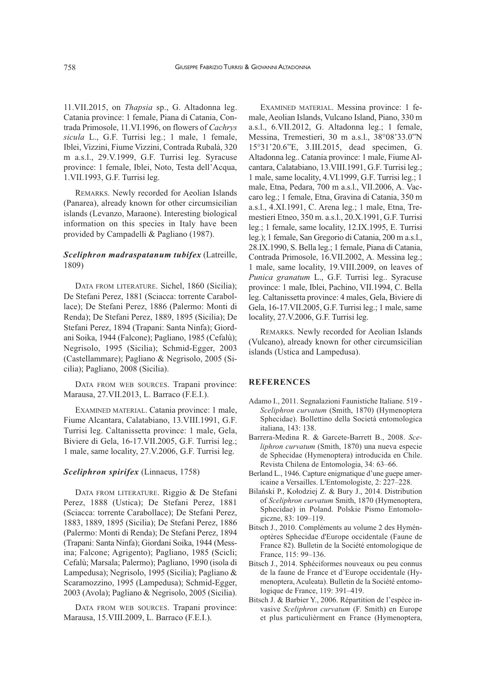11.VII.2015, on *Thapsia* sp., G. Altadonna leg. Catania province: 1 female, Piana di Catania, Contrada Primosole, 11.VI.1996, on flowers of *Cachrys sicula* L., G.F. Turrisi leg.; 1 male, 1 female, Iblei, Vizzini, Fiume Vizzini, Contrada Rubalà, 320 m a.s.l., 29.V.1999, G.F. Turrisi leg. Syracuse province: 1 female, Iblei, Noto, Testa dell'Acqua, 1.VII.1993, G.F. Turrisi leg.

REMARKS. Newly recorded for Aeolian Islands (Panarea), already known for other circumsicilian islands (Levanzo, Maraone). Interesting biological information on this species in Italy have been provided by Campadelli & Pagliano (1987).

# *Sceliphron madraspatanum tubifex* (Latreille, 1809)

DATA FRoM LITERATURE. Sichel, 1860 (Sicilia); De Stefani Perez, 1881 (Sciacca: torrente Carabollace); De Stefani Perez, 1886 (Palermo: Monti di Renda); De Stefani Perez, 1889, 1895 (Sicilia); De Stefani Perez, 1894 (Trapani: Santa Ninfa); Giordani Soika, 1944 (Falcone); Pagliano, 1985 (Cefalù); Negrisolo, 1995 (Sicilia); Schmid-Egger, 2003 (Castellammare); Pagliano & Negrisolo, 2005 (Sicilia); Pagliano, 2008 (Sicilia).

DATA FRoM WEB SoURCES. Trapani province: Marausa, 27.VII.2013, L. Barraco (F.E.I.).

EXAMINED MATERIAL. Catania province: 1 male, Fiume Alcantara, Calatabiano, 13.VIII.1991, G.F. Turrisi leg. Caltanissetta province: 1 male, Gela, Biviere di Gela, 16-17.VII.2005, G.F. Turrisi leg.; 1 male, same locality, 27.V.2006, G.F. Turrisi leg.

## *Sceliphron spirifex* (Linnaeus, 1758)

DATA FRoM LITERATURE. Riggio & De Stefani Perez, 1888 (Ustica); De Stefani Perez, 1881 (Sciacca: torrente Carabollace); De Stefani Perez, 1883, 1889, 1895 (Sicilia); De Stefani Perez, 1886 (Palermo: Monti di Renda); De Stefani Perez, 1894 (Trapani: Santa Ninfa); Giordani Soika, 1944 (Messina; Falcone; Agrigento); Pagliano, 1985 (Scicli; Cefalù; Marsala; Palermo); Pagliano, 1990 (isola di Lampedusa); Negrisolo, 1995 (Sicilia); Pagliano & Scaramozzino, 1995 (Lampedusa); Schmid-Egger, 2003 (Avola); Pagliano & Negrisolo, 2005 (Sicilia).

DATA FRoM WEB SoURCES. Trapani province: Marausa, 15.VIII.2009, L. Barraco (F.E.I.).

EXAMINED MATERIAL. Messina province: 1 female, Aeolian Islands, Vulcano Island, Piano, 330 m a.s.l., 6.VII.2012, G. Altadonna leg.; 1 female, Messina, Tremestieri, 30 m a.s.l., 38°08'33.0"N 15°31'20.6"E, 3.III.2015, dead specimen, G. Altadonna leg.. Catania province: 1 male, Fiume Alcantara, Calatabiano, 13.VIII.1991, G.F. Turrisi leg.; 1 male, same locality, 4.VI.1999, G.F. Turrisi leg.; 1 male, Etna, Pedara, 700 m a.s.l., VII.2006, A. Vaccaro leg.; 1 female, Etna, Gravina di Catania, 350 m a.s.l., 4.XI.1991, C. Arena leg.; 1 male, Etna, Tremestieri Etneo, 350 m. a.s.l., 20.X.1991, G.F. Turrisi leg.; 1 female, same locality, 12.IX.1995, E. Turrisi leg.); 1 female, San Gregorio di Catania, 200 m a.s.l., 28.IX.1990, S. Bella leg.; 1 female, Piana di Catania, Contrada Primosole, 16.VII.2002, A. Messina leg.; 1 male, same locality, 19.VIII.2009, on leaves of *Punica granatum* L., G.F. Turrisi leg.. Syracuse province: 1 male, Iblei, Pachino, VII.1994, C. Bella leg. Caltanissetta province: 4 males, Gela, Biviere di Gela, 16-17. VII. 2005, G.F. Turrisi leg.; 1 male, same locality, 27.V.2006, G.F. Turrisi leg.

REMARKS. Newly recorded for Aeolian Islands (Vulcano), already known for other circumsicilian islands (Ustica and Lampedusa).

## **REFERENCES**

- Adamo I., 2011. Segnalazioni Faunistiche Italiane. 519 *Sceliphron curvatum* (Smith, 1870) (Hymenoptera Sphecidae). Bollettino della Società entomologica italiana, 143: 138.
- Barrera-Medina R. & Garcete-Barrett B., 2008. *Sceliphron curvatum* (Smith, 1870) una nueva especie de Sphecidae (Hymenoptera) introducida en Chile. Revista Chilena de Entomologia, 34: 63–66.
- Berland L., 1946. Capture enigmatique d'une guepe americaine a Versailles. L'Entomologiste, 2: 227–228.
- Bilański P., Kołodziej Z. & Bury J., 2014. Distribution of *Sceliphron curvatum* Smith, 1870 (Hymenoptera, Sphecidae) in Poland. Polskie Pismo Entomologiczne, 83: 109–119.
- Bitsch J., 2010. Compléments au volume 2 des Hyménoptères Sphecidae d'Europe occidentale (Faune de France 82). Bulletin de la Société entomologique de France, 115: 99–136.
- Bitsch J., 2014. Sphéciformes nouveaux ou peu connus de la faune de France et d'Europe occidentale (Hymenoptera, Aculeata). Bulletin de la Société entomologique de France, 119: 391–419.
- Bitsch J. & Barbier Y., 2006. Répartition de l'espèce invasive *Sceliphron curvatum* (F. Smith) en Europe et plus particulièrment en France (Hymenoptera,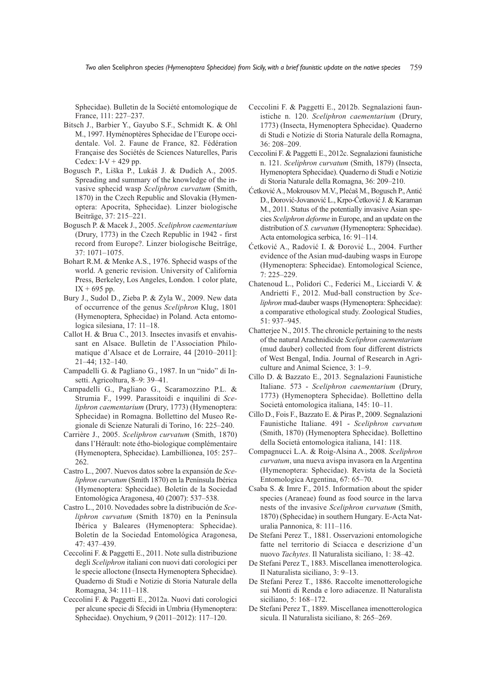Sphecidae). Bulletin de la Société entomologique de France, 111: 227–237.

- Bitsch J., Barbier Y., Gayubo S.F., Schmidt K. & Ohl M., 1997. Hyménoptères Sphecidae de l'Europe occidentale. Vol. 2. Faune de France, 82. Fédération Française des Sociétés de Sciences Naturelles, Paris Cedex:  $I-V + 429$  pp.
- Bogusch P., Liška P., Lukáš J. & Dudich A., 2005. Spreading and summary of the knowledge of the invasive sphecid wasp *Sceliphron curvatum* (Smith, 1870) in the Czech Republic and Slovakia (Hymenoptera: Apocrita, Sphecidae). Linzer biologische Beiträge, 37: 215–221.
- Bogusch P. & Macek J., 2005. *Sceliphron caementarium* (Drury, 1773) in the Czech Republic in 1942 - first record from Europe?. Linzer biologische Beiträge, 37: 1071–1075.
- Bohart R.M. & Menke A.S., 1976. Sphecid wasps of the world. A generic revision. University of California Press, Berkeley, Los Angeles, London. 1 color plate,  $IX + 695$  pp.
- Bury J., Sudol D., Zieba P. & Zyla W., 2009. New data of occurrence of the genus *Sceliphron* Klug, 1801 (Hymenoptera, Sphecidae) in Poland. Acta entomologica silesiana, 17: 11–18.
- Callot H. & Brua C., 2013. Insectes invasifs et envahissant en Alsace. Bulletin de l'Association Philomatique d'Alsace et de Lorraire, 44 [2010–2011]: 21–44; 132–140.
- Campadelli G. & Pagliano G., 1987. In un "nido" di Insetti. Agricoltura, 8–9: 39–41.
- Campadelli G., Pagliano G., Scaramozzino P.L. & Strumia F., 1999. Parassitoidi e inquilini di *Sceliphron caementarium* (Drury, 1773) (Hymenoptera: Sphecidae) in Romagna. Bollettino del Museo Regionale di Scienze Naturali di Torino, 16: 225–240.
- Carrière J., 2005. *Sceliphron curvatum* (Smith, 1870) dans l'Hérault: note étho-biologique complémentaire (Hymenoptera, Sphecidae). Lambillionea, 105: 257– 262.
- Castro L., 2007. Nuevos datos sobre la expansión de *Sceliphron curvatum* (Smith 1870) en la Península Ibérica (Hymenoptera: Sphecidae). Boletín de la Sociedad Entomológica Aragonesa, 40 (2007): 537–538.
- Castro L., 2010. Novedades sobre la distribución de *Sceliphron curvatum* (Smith 1870) en la Península Ibérica y Baleares (Hymenoptera: Sphecidae). Boletín de la Sociedad Entomológica Aragonesa, 47: 437–439.
- Ceccolini F. & Paggetti E., 2011. Note sulla distribuzione degli *Sceliphron* italiani con nuovi dati corologici per le specie alloctone (Insecta Hymenoptera Sphecidae). Quaderno di Studi e Notizie di Storia Naturale della Romagna, 34: 111–118.
- Ceccolini F. & Paggetti E., 2012a. Nuovi dati corologici per alcune specie di Sfecidi in Umbria (Hymenoptera: Sphecidae). onychium, 9 (2011–2012): 117–120.
- Ceccolini F. & Paggetti E., 2012b. Segnalazioni faunistiche n. 120. *Sceliphron caementarium* (Drury, 1773) (Insecta, Hymenoptera Sphecidae). Quaderno di Studi e Notizie di Storia Naturale della Romagna, 36: 208–209.
- Ceccolini F. & Paggetti E., 2012c. Segnalazioni faunistiche n. 121. *Sceliphron curvatum* (Smith, 1879) (Insecta, Hymenoptera Sphecidae). Quaderno di Studi e Notizie di Storia Naturale della Romagna, 36: 209–210.
- Ćetković A., Mokrousov M.V., Plećaš M., Bogusch P., Antić D., Đorović-Jovanović L., Krpo-Ćetković J. & Karaman M., 2011. Status of the potentially invasive Asian species *Sceliphron deforme* in Europe, and an update on the distribution of *S. curvatum* (Hymenoptera: Sphecidae). Acta entomologica serbica, 16: 91–114.
- Ćetković A., Radović I. & Đorović L., 2004. Further evidence of the Asian mud-daubing wasps in Europe (Hymenoptera: Sphecidae). Entomological Science, 7: 225–229.
- Chatenoud L., Polidori C., Federici M., Licciardi V. & Andrietti F., 2012. Mud-ball construction by *Sceliphron* mud-dauber wasps(Hymenoptera: Sphecidae): a comparative ethological study. Zoological Studies, 51: 937–945.
- Chatterjee N., 2015. The chronicle pertaining to the nests of the naturalArachnidicide *Sceliphron caementarium* (mud dauber) collected from four different districts of West Bengal, India. Journal of Research in Agriculture and Animal Science, 3: 1–9.
- Cillo D. & Bazzato E., 2013. Segnalazioni Faunistiche Italiane. 573 - *Sceliphron caementarium* (Drury, 1773) (Hymenoptera Sphecidae). Bollettino della Società entomologica italiana, 145: 10–11.
- Cillo D., Fois F., Bazzato E. & Piras P., 2009. Segnalazioni Faunistiche Italiane. 491 - *Sceliphron curvatum* (Smith, 1870) (Hymenoptera Sphecidae). Bollettino della Società entomologica italiana, 141: 118.
- Compagnucci L.A. & Roig-Alsina A., 2008. *Sceliphron curvatum*, una nueva avispa invasora en la Argentina (Hymenoptera: Sphecidae). Revista de la Società Entomologica Argentina, 67: 65–70.
- Csaba S. & Imre F., 2015. Information about the spider species (Araneae) found as food source in the larva nests of the invasive *Sceliphron curvatum* (Smith, 1870) (Sphecidae) in southern Hungary. E-Acta Naturalia Pannonica, 8: 111–116.
- De Stefani Perez T., 1881. Osservazioni entomologiche fatte nel territorio di Sciacca e descrizione d'un nuovo *Tachytes*. Il Naturalista siciliano, 1: 38–42.
- De Stefani Perez T., 1883. Miscellanea imenotterologica. Il Naturalista siciliano, 3: 9–13.
- De Stefani Perez T., 1886. Raccolte imenotterologiche sui Monti di Renda e loro adiacenze. Il Naturalista siciliano, 5: 168–172.
- De Stefani Perez T., 1889. Miscellanea imenotterologica sicula. Il Naturalista siciliano, 8: 265–269.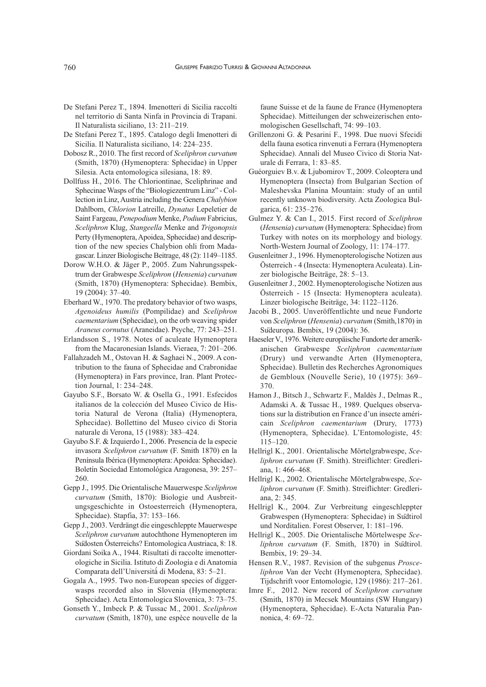- De Stefani Perez T., 1894. Imenotteri di Sicilia raccolti nel territorio di Santa Ninfa in Provincia di Trapani. Il Naturalista siciliano, 13: 211–219.
- De Stefani Perez T., 1895. Catalogo degli Imenotteri di Sicilia. Il Naturalista siciliano, 14: 224–235.
- Dobosz R., 2010. The first record of *Sceliphron curvatum* (Smith, 1870) (Hymenoptera: Sphecidae) in Upper Silesia. Acta entomologica silesiana, 18: 89.
- Dollfuss H., 2016. The Chloriontinae, Sceliphrinae and Sphecinae Wasps of the "Biologiezentrum Linz" - Collection in Linz, Austria including the Genera *Chalybion* Dahlbom, *Chlorion* Latreille, *Dynatus* Lepeletier de Saint Fargeau, *Penepodium* Menke, *Podium* Fabricius, *Sceliphron* Klug, *Stangeella* Menke and *Trigonopsis* Perty (Hymenoptera, Apoidea, Sphecidae) and description of the new species Chalybion ohli from Madagascar. Linzer Biologische Beitrage, 48 (2): 1149–1185.
- Dorow W.H.o. & Jäger P., 2005. Zum Nahrungsspektrum der Grabwespe *Sceliphron* (*Hensenia*) *curvatum* (Smith, 1870) (Hymenoptera: Sphecidae). Bembix, 19 (2004): 37–40.
- Eberhard W., 1970. The predatory behavior of two wasps, *Agenoideus humilis* (Pompilidae) and *Sceliphron caementarium* (Sphecidae), on the orb weaving spider *Araneus cornutus* (Araneidae). Psyche, 77: 243–251.
- Erlandsson S., 1978. Notes of aculeate Hymenoptera from the Macaronesian Islands. Vieraea, 7: 201–206.
- Fallahzadeh M., ostovan H. & Saghaei N., 2009. A contribution to the fauna of Sphecidae and Crabronidae (Hymenoptera) in Fars province, Iran. Plant Protection Journal, 1: 234–248.
- Gayubo S.F., Borsato W. & Osella G., 1991. Esfecidos italianos de la colección del Museo Civico de Historia Natural de Verona (Italia) (Hymenoptera, Sphecidae). Bollettino del Museo civico di Storia naturale di Verona, 15 (1988): 383–424.
- Gayubo S.F. & Izquierdo I., 2006. Presencia de la especie invasora *Sceliphron curvatum* (F. Smith 1870) en la Península Ibérica (Hymenoptera: Apoidea: Sphecidae). Boletín Sociedad Entomológica Aragonesa, 39: 257– 260.
- Gepp J., 1995. Die orientalische Mauerwespe *Sceliphron curvatum* (Smith, 1870): Biologie und Ausbreitungsgeschichte in ostoesterreich (Hymenoptera, Sphecidae). Stapfia, 37: 153–166.
- Gepp J., 2003. Verdrängt die eingeschleppte Mauerwespe *Sceliphron curvatum* autochthone Hymenopteren im Sudosten Österreichs? Entomologica Austriaca, 8: 18.
- Giordani Soika A., 1944. Risultati di raccolte imenotterologiche in Sicilia. Istituto di Zoologia e di Anatomia Comparata dell'Università̀di Modena, 83: 5–21.
- Gogala A., 1995. Two non-European species of diggerwasps recorded also in Slovenia (Hymenoptera: Sphecidae). Acta Entomologica Slovenica, 3: 73–75.
- Gonseth Y., Imbeck P. & Tussac M., 2001. *Sceliphron curvatum* (Smith, 1870), une espèce nouvelle de la

faune Suisse et de la faune de France (Hymenoptera Sphecidae). Mitteilungen der schweizerischen entomologischen Gesellschaft, 74: 99–103.

- Grillenzoni G. & Pesarini F., 1998. Due nuovi Sfecidi della fauna esotica rinvenuti a Ferrara (Hymenoptera Sphecidae). Annali del Museo Civico di Storia Naturale di Ferrara, 1: 83–85.
- Guéorguiev B.v. & Ljubomirov T., 2009. Coleoptera und Hymenoptera (Insecta) from Bulgarian Section of Maleshevska Planina Mountain: study of an until recently unknown biodiversity. Acta Zoologica Bulgarica, 61: 235–276.
- Gulmez Y. & Can I., 2015. First record of *Sceliphron* (*Hensenia*) *curvatum* (Hymenoptera: Sphecidae) from Turkey with notes on its morphology and biology. North-Western Journal of Zoology, 11: 174–177.
- Gusenleitner J., 1996. Hymenopterologische Notizen aus Österreich - 4 (Insecta: Hymenoptera Aculeata). Linzer biologische Beiträge, 28: 5–13.
- Gusenleitner J., 2002. Hymenopterologische Notizen aus Österreich - 15 (Insecta: Hymenoptera aculeata). Linzer biologische Beiträge, 34: 1122–1126.
- Jacobi B., 2005. Unveröffentlichte und neue Fundorte von *Sceliphron* (*Hensenia*) *curvatum* (Smith,1870) in Südeuropa. Bembix, 19 (2004): 36.
- HaeselerV., 1976.Weitere europäische Fundorte der amerikanischen Grabwespe *Sceliphron caementarium* (Drury) und verwandte Arten (Hymenoptera, Sphecidae). Bulletin des Recherches Agronomiques de Gembloux (Nouvelle Serie), 10 (1975): 369– 370.
- Hamon J., Bitsch J., Schwartz F., Maldès J., Delmas R., Adamski A. & Tussac H., 1989. Quelques observations sur la distribution en France d'un insecte américain *Sceliphron caementarium* (Drury, 1773) (Hymenoptera, Sphecidae). L'Entomologiste, 45: 115–120.
- Hellrigl K., 2001. orientalische Mörtelgrabwespe, *Sceliphron curvatum* (F. Smith). Streiflichter: Gredleriana, 1: 466–468.
- Hellrigl K., 2002. orientalische Mörtelgrabwespe, *Sceliphron curvatum* (F. Smith). Streiflichter: Gredleriana, 2: 345.
- Hellrigl K., 2004. Zur Verbreitung eingeschleppter Grabwespen (Hymenoptera: Sphecidae) in Südtirol und Norditalien. Forest observer, 1: 181–196.
- Hellrigl K., 2005. Die orientalische Mörtelwespe *Sceliphron curvatum* (F. Smith, 1870) in Südtirol. Bembix, 19: 29–34.
- Hensen R.V., 1987. Revision of the subgenus *Prosceliphron* Van der Vecht (Hymenoptera, Sphecidae). Tijdschrift voor Entomologie, 129 (1986): 217–261.
- Imre F., 2012. New record of *Sceliphron curvatum* (Smith, 1870) in Mecsek Mountains (SW Hungary) (Hymenoptera, Sphecidae). E-Acta Naturalia Pannonica, 4: 69–72.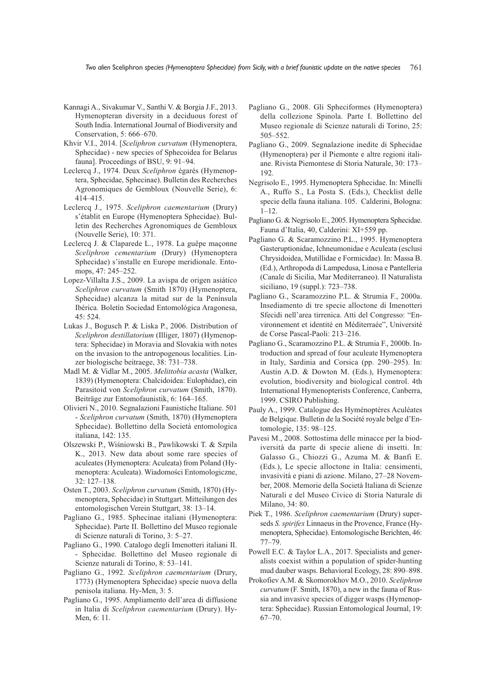- Kannagi A., Sivakumar V., Santhi V. & Borgia J.F., 2013. Hymenopteran diversity in a deciduous forest of South India. International Journal of Biodiversity and Conservation, 5: 666–670.
- Khvir V.I., 2014. [*Sceliphron curvatum* (Hymenoptera, Sphecidae) - new species of Sphecoidea for Belarus fauna]. Proceedings of BSU, 9: 91–94.
- Leclercq J., 1974. Deux *Sceliphron* égarés (Hymenoptera, Sphecidae, Sphecinae). Bulletin des Recherches Agronomiques de Gembloux (Nouvelle Serie), 6: 414–415.
- Leclercq J., 1975. *Sceliphron caementarium* (Drury) s'établit en Europe (Hymenoptera Sphecidae). Bulletin des Recherches Agronomiques de Gembloux (Nouvelle Serie), 10: 371.
- Leclercq J. & Claparede L., 1978. La guêpe maçonne *Sceliphron cementarium* (Drury) (Hymenoptera Sphecidae) s'installe en Europe meridionale. Entomops, 47: 245–252.
- Lopez-Villalta J.S., 2009. La avispa de origen asiático *Sceliphron curvatum* (Smith 1870) (Hymenoptera, Sphecidae) alcanza la mitad sur de la Península Ibérica. Boletín Sociedad Entomológica Aragonesa, 45: 524.
- Lukas J., Bogusch P. & Liska P., 2006. Distribution of *Sceliphron destillatorium* (Illiger, 1807) (Hymenoptera: Sphecidae) in Moravia and Slovakia with notes on the invasion to the antropogenous localities. Linzer biologische beitraege, 38: 731–738.
- Madl M. & Vidlar M., 2005. *Melittobia acasta* (Walker, 1839) (Hymenoptera: Chalcidoidea: Eulophidae), ein Parasitoid von *Sceliphron curvatum* (Smith, 1870). Beiträge zur Entomofaunistik, 6: 164–165.
- olivieri N., 2010. Segnalazioni Faunistiche Italiane. 501 - *Sceliphron curvatum* (Smith, 1870) (Hymenoptera Sphecidae). Bollettino della Società entomologica italiana, 142: 135.
- olszewski P., Wiśniowski B., Pawlikowski T. & Szpila K., 2013. New data about some rare species of aculeates (Hymenoptera: Aculeata) from Poland (Hymenoptera: Aculeata). Wiadomości Entomologiczne, 32: 127–138.
- osten T., 2003. *Sceliphron curvatum* (Smith, 1870) (Hymenoptera, Sphecidae) in Stuttgart. Mitteilungen des entomologischen Verein Stuttgart, 38: 13–14.
- Pagliano G., 1985. Sphecinae italiani (Hymenoptera: Sphecidae). Parte II. Bollettino del Museo regionale di Scienze naturali di Torino, 3: 5–27.
- Pagliano G., 1990. Catalogo degli Imenotteri italiani II. - Sphecidae. Bollettino del Museo regionale di Scienze naturali di Torino, 8: 53–141.
- Pagliano G., 1992. *Sceliphron caementarium* (Drury, 1773) (Hymenoptera Sphecidae) specie nuova della penisola italiana. Hy-Men, 3: 5.
- Pagliano G., 1995. Ampliamento dell'area di diffusione in Italia di *Sceliphron caementarium* (Drury). Hy-Men, 6: 11.
- Pagliano G., 2008. Gli Spheciformes (Hymenoptera) della collezione Spinola. Parte I. Bollettino del Museo regionale di Scienze naturali di Torino, 25: 505–552.
- Pagliano G., 2009. Segnalazione inedite di Sphecidae (Hymenoptera) per il Piemonte e altre regioni italiane. Rivista Piemontese di Storia Naturale, 30: 173– 192.
- Negrisolo E., 1995. Hymenoptera Sphecidae. In: Minelli A., Ruffo S., La Posta S. (Eds.), Checklist delle specie della fauna italiana. 105. Calderini, Bologna: 1–12.
- Pagliano G. & Negrisolo E., 2005. Hymenoptera Sphecidae. Fauna d'Italia, 40, Calderini: XI+559 pp.
- Pagliano G. & Scaramozzino P.L., 1995. Hymenoptera Gasteruptionidae, Ichneumonidae e Aculeata (esclusi Chrysidoidea, Mutillidae e Formicidae). In: Massa B. (Ed.), Arthropoda di Lampedusa, Linosa e Pantelleria (Canale di Sicilia, Mar Mediterraneo). Il Naturalista siciliano, 19 (suppl.): 723–738.
- Pagliano G., Scaramozzino P.L. & Strumia F., 2000a. Insediamento di tre specie alloctone di Imenotteri Sfecidi nell'area tirrenica. Atti del Congresso: "Environnement et identité en Méditerraée", Université de Corse Pascal-Paoli: 213–216.
- Pagliano G., Scaramozzino P.L. & Strumia F., 2000b. Introduction and spread of four aculeate Hymenoptera in Italy, Sardinia and Corsica (pp. 290–295). In: Austin A.D. & Dowton M. (Eds.), Hymenoptera: evolution, biodiversity and biological control. 4th International Hymenopterists Conference, Canberra, 1999. CSIRo Publishing.
- Pauly A., 1999. Catalogue des Hyménoptères Aculéates de Belgique. Bulletin de la Société royale belge d'Entomologie, 135: 98–125.
- Pavesi M., 2008. Sottostima delle minacce per la biodiversità da parte di specie aliene di insetti. In: Galasso G., Chiozzi G., Azuma M. & Banfi E. (Eds.), Le specie alloctone in Italia: censimenti, invasività e piani di azione. Milano, 27–28 November, 2008. Memorie della Società Italiana di Scienze Naturali e del Museo Civico di Storia Naturale di Milano, 34: 80.
- Piek T., 1986. *Sceliphron caementarium* (Drury) superseds *S. spirifex* Linnaeus in the Provence, France (Hymenoptera, Sphecidae). Entomologische Berichten, 46: 77–79.
- Powell E.C. & Taylor L.A., 2017. Specialists and generalists coexist within a population of spider-hunting mud dauber wasps. Behavioral Ecology, 28: 890–898.
- Prokofiev A.M. & Skomorokhov M.o., 2010. *Sceliphron curvatum* (F. Smith, 1870), a new in the fauna of Russia and invasive species of digger wasps (Hymenoptera: Sphecidae). Russian Entomological Journal, 19: 67–70.